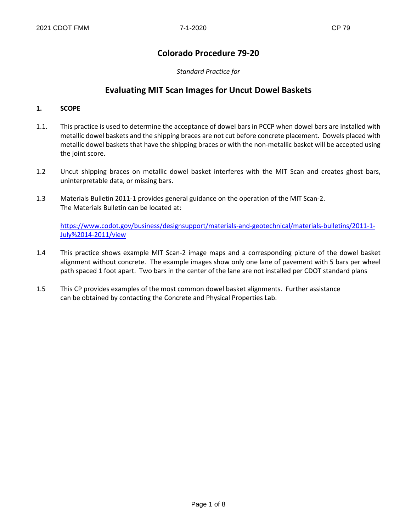## **Colorado Procedure 79-20**

*Standard Practice for*

## **Evaluating MIT Scan Images for Uncut Dowel Baskets**

#### **1. SCOPE**

- 1.1. This practice is used to determine the acceptance of dowel bars in PCCP when dowel bars are installed with metallic dowel baskets and the shipping braces are not cut before concrete placement. Dowels placed with metallic dowel baskets that have the shipping braces or with the non-metallic basket will be accepted using the joint score.
- 1.2 Uncut shipping braces on metallic dowel basket interferes with the MIT Scan and creates ghost bars, uninterpretable data, or missing bars.
- 1.3 Materials Bulletin 2011-1 provides general guidance on the operation of the MIT Scan-2. The Materials Bulletin can be located at:

[https://www.codot.gov/business/designsupport/materials-and-geotechnical/materials-bulletins/2011-1-](https://www.codot.gov/business/designsupport/materials-and-geotechnical/materials-bulletins/2011-1-%09%09July%2014-2011/view) [July%2014-2011/view](https://www.codot.gov/business/designsupport/materials-and-geotechnical/materials-bulletins/2011-1-%09%09July%2014-2011/view)

- 1.4 This practice shows example MIT Scan-2 image maps and a corresponding picture of the dowel basket alignment without concrete. The example images show only one lane of pavement with 5 bars per wheel path spaced 1 foot apart. Two bars in the center of the lane are not installed per CDOT standard plans
- 1.5 This CP provides examples of the most common dowel basket alignments. Further assistance can be obtained by contacting the Concrete and Physical Properties Lab.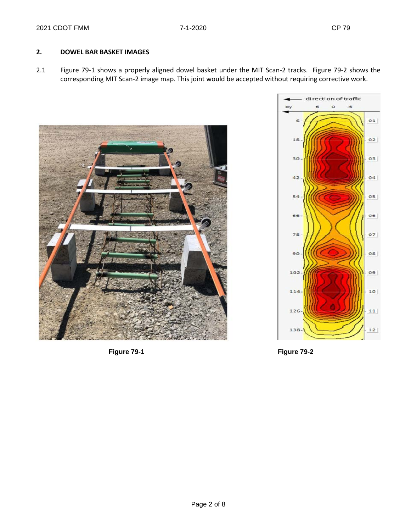### **2. DOWEL BAR BASKET IMAGES**

2.1 Figure 79-1 shows a properly aligned dowel basket under the MIT Scan-2 tracks. Figure 79-2 shows the corresponding MIT Scan-2 image map. This joint would be accepted without requiring corrective work.







**Figure 79-1 Figure 79-2**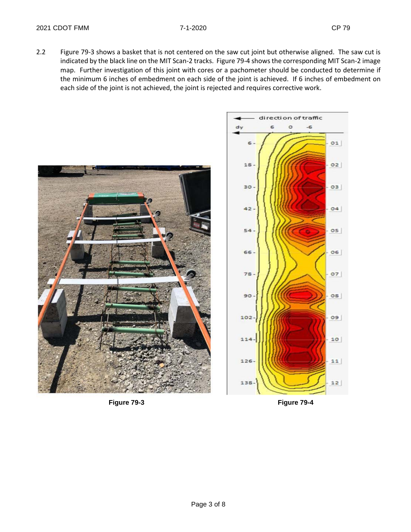2.2 Figure 79-3 shows a basket that is not centered on the saw cut joint but otherwise aligned. The saw cut is indicated by the black line on the MIT Scan-2 tracks. Figure 79-4 shows the corresponding MIT Scan-2 image map. Further investigation of this joint with cores or a pachometer should be conducted to determine if the minimum 6 inches of embedment on each side of the joint is achieved. If 6 inches of embedment on each side of the joint is not achieved, the joint is rejected and requires corrective work.



**Figure 79-3 Figure 79-4**

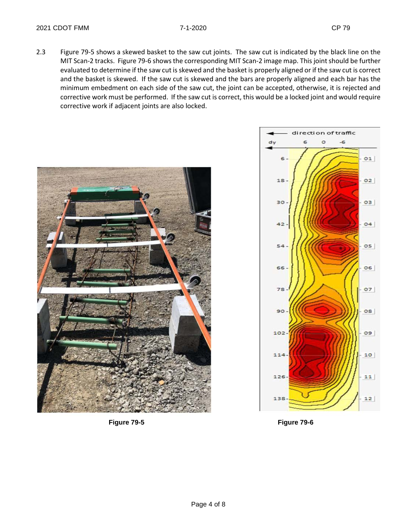2.3 Figure 79-5 shows a skewed basket to the saw cut joints. The saw cut is indicated by the black line on the MIT Scan-2 tracks. Figure 79-6 shows the corresponding MIT Scan-2 image map. This joint should be further evaluated to determine if the saw cut is skewed and the basket is properly aligned or if the saw cut is correct and the basket is skewed. If the saw cut is skewed and the bars are properly aligned and each bar has the minimum embedment on each side of the saw cut, the joint can be accepted, otherwise, it is rejected and corrective work must be performed. If the saw cut is correct, this would be a locked joint and would require corrective work if adjacent joints are also locked.



**Figure 79-5 Figure 79-6**

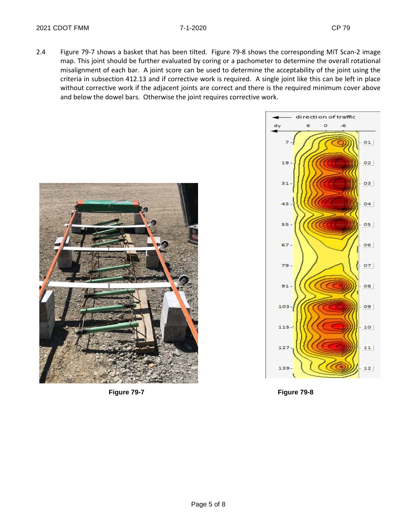2.4 Figure 79-7 shows a basket that has been tilted. Figure 79-8 shows the corresponding MIT Scan-2 image map. This joint should be further evaluated by coring or a pachometer to determine the overall rotational misalignment of each bar. A joint score can be used to determine the acceptability of the joint using the criteria in subsection 412.13 and if corrective work is required. A single joint like this can be left in place without corrective work if the adjacent joints are correct and there is the required minimum cover above and below the dowel bars. Otherwise the joint requires corrective work.





**Figure 79-7 Figure 79-8**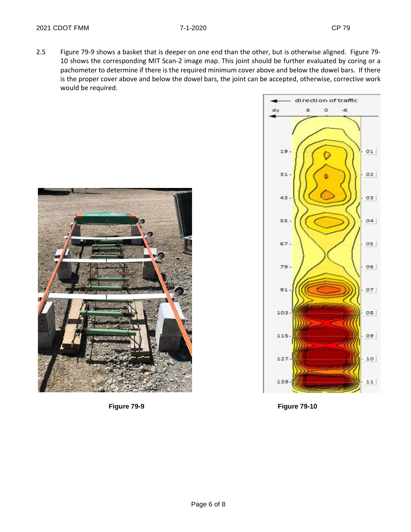2.5 Figure 79-9 shows a basket that is deeper on one end than the other, but is otherwise aligned. Figure 79- 10 shows the corresponding MIT Scan-2 image map. This joint should be further evaluated by coring or a pachometer to determine if there is the required minimum cover above and below the dowel bars. If there is the proper cover above and below the dowel bars, the joint can be accepted, otherwise, corrective work would be required.





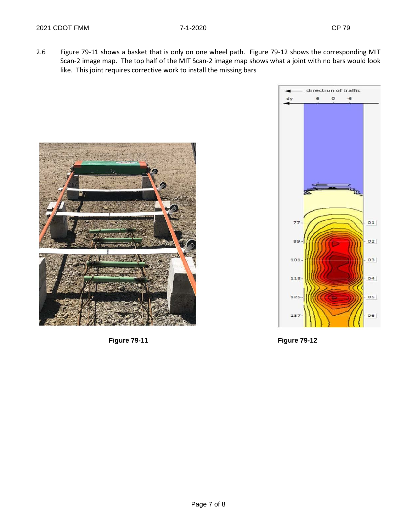2.6 Figure 79-11 shows a basket that is only on one wheel path. Figure 79-12 shows the corresponding MIT Scan-2 image map. The top half of the MIT Scan-2 image map shows what a joint with no bars would look like. This joint requires corrective work to install the missing bars



**Figure 79-11 Figure 79-12**